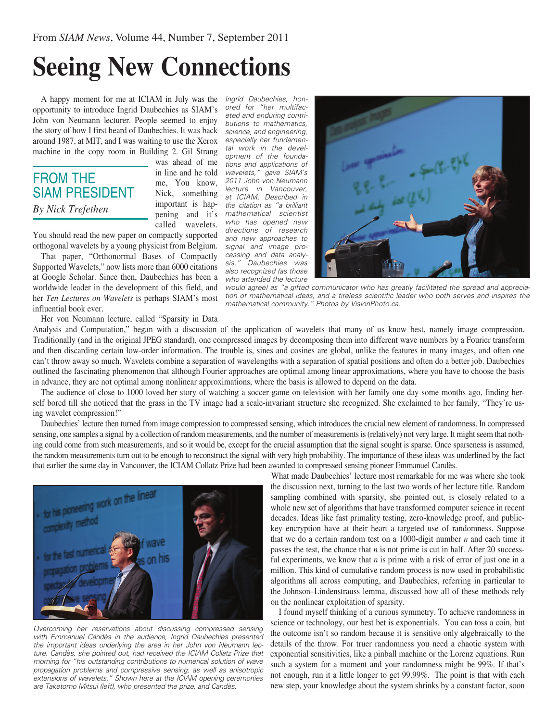## **Seeing New Connections**

A happy moment for me at ICIAM in July was the *Ingrid Daubechies, hon*opportunity to introduce Ingrid Daubechies as SIAM's John von Neumann lecturer. People seemed to enjoy the story of how I first heard of Daubechies. It was back around 1987, at MIT, and I was waiting to use the Xerox machine in the copy room in Building 2. Gil Strang

## FROM THE SIAM PRESIDENT *By Nick Trefethen*

was ahead of me in line and he told me, You know, Nick, something important is happening and it's called wavelets.

You should read the new paper on compactly supported orthogonal wavelets by a young physicist from Belgium.

That paper, "Orthonormal Bases of Compactly Supported Wavelets," now lists more than 6000 citations at Google Scholar. Since then, Daubechies has been a worldwide leader in the development of this field, and her *Ten Lectures on Wavelets* is perhaps SIAM's most influential book ever.

Her von Neumann lecture, called "Sparsity in Data

*ored for "her multifaceted and enduring contributions to mathematics, science, and engineering, especially her fundamental work in the development of the foundations and applications of wavelets," gave SIAM's 2011 John von Neumann lecture in Vancouver, at ICIAM. Described in the citation as "a brilliant mathematical scientist who has opened new directions of research and new approaches to signal and image processing and data analysis," Daubechies was also recognized (as those who attended the lecture* 



*would agree) as "a gifted communicator who has greatly facilitated the spread and appreciation of mathematical ideas, and a tireless scientific leader who both serves and inspires the mathematical community." Photos by VisionPhoto.ca.*

Analysis and Computation," began with a discussion of the application of wavelets that many of us know best, namely image compression. Traditionally (and in the original JPEG standard), one compressed images by decomposing them into different wave numbers by a Fourier transform and then discarding certain low-order information. The trouble is, sines and cosines are global, unlike the features in many images, and often one can't throw away so much. Wavelets combine a separation of wavelengths with a separation of spatial positions and often do a better job. Daubechies outlined the fascinating phenomenon that although Fourier approaches are optimal among linear approximations, where you have to choose the basis in advance, they are not optimal among nonlinear approximations, where the basis is allowed to depend on the data.

The audience of close to 1000 loved her story of watching a soccer game on television with her family one day some months ago, finding herself bored till she noticed that the grass in the TV image had a scale-invariant structure she recognized. She exclaimed to her family, "They're using wavelet compression!"

Daubechies' lecture then turned from image compression to compressed sensing, which introduces the crucial new element of randomness. In compressed sensing, one samples a signal by a collection of random measurements, and the number of measurements is (relatively) not very large. It might seem that nothing could come from such measurements, and so it would be, except for the crucial assumption that the signal sought is sparse. Once sparseness is assumed, the random measurements turn out to be enough to reconstruct the signal with very high probability. The importance of these ideas was underlined by the fact that earlier the same day in Vancouver, the ICIAM Collatz Prize had been awarded to compressed sensing pioneer Emmanuel Candès.



*Overcoming her reservations about discussing compressed sensing with Emmanuel Candès in the audience, Ingrid Daubechies presented the important ideas underlying the area in her John von Neumann lecture. Candès, she pointed out, had received the ICIAM Collatz Prize that morning for "his outstanding contributions to numerical solution of wave propagation problems and compressive sensing, as well as anisotropic extensions of wavelets." Shown here at the ICIAM opening ceremonies are Taketomo Mitsui (left), who presented the prize, and Candès.*

What made Daubechies' lecture most remarkable for me was where she took the discussion next, turning to the last two words of her lecture title. Random sampling combined with sparsity, she pointed out, is closely related to a whole new set of algorithms that have transformed computer science in recent decades. Ideas like fast primality testing, zero-knowledge proof, and publickey encryption have at their heart a targeted use of randomness. Suppose that we do a certain random test on a 1000-digit number *n* and each time it passes the test, the chance that *n* is not prime is cut in half. After 20 successful experiments, we know that *n* is prime with a risk of error of just one in a million. This kind of cumulative random process is now used in probabilistic algorithms all across computing, and Daubechies, referring in particular to the Johnson–Lindenstrauss lemma, discussed how all of these methods rely on the nonlinear exploitation of sparsity.

I found myself thinking of a curious symmetry. To achieve randomness in science or technology, our best bet is exponentials. You can toss a coin, but the outcome isn't so random because it is sensitive only algebraically to the details of the throw. For truer randomness you need a chaotic system with exponential sensitivities, like a pinball machine or the Lorenz equations. Run such a system for a moment and your randomness might be 99%. If that's not enough, run it a little longer to get 99.99%. The point is that with each new step, your knowledge about the system shrinks by a constant factor, soon